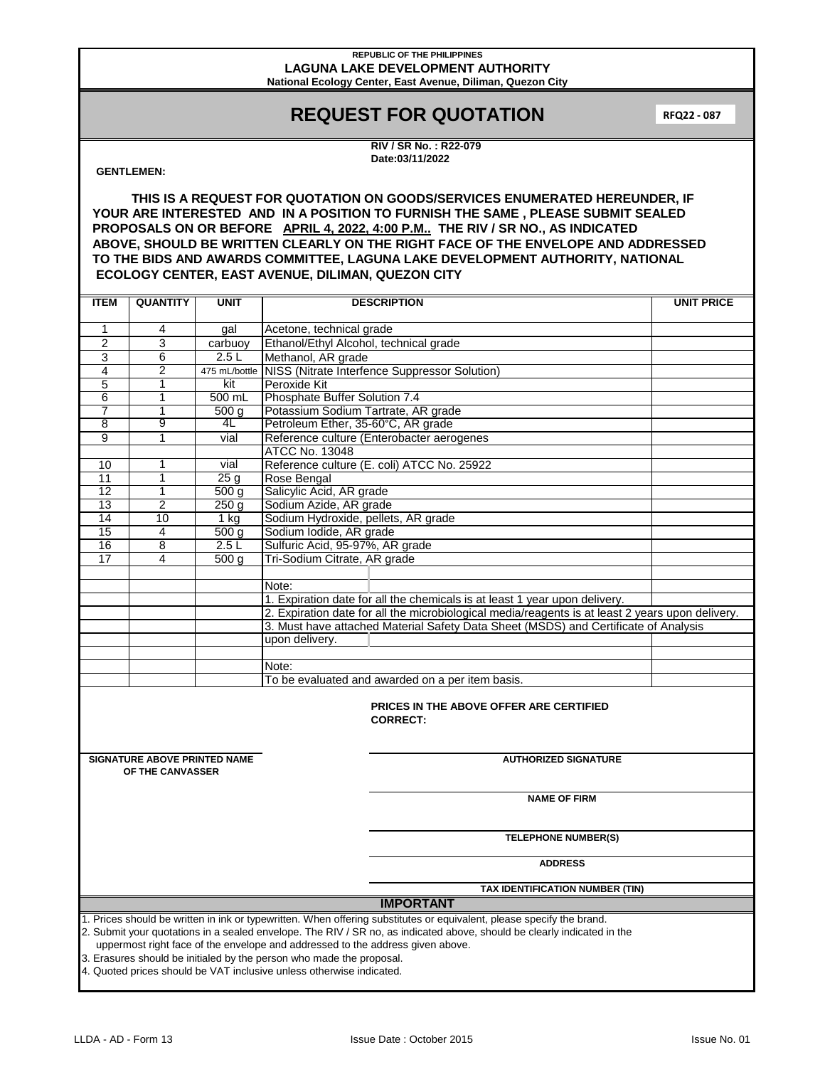#### **REPUBLIC OF THE PHILIPPINES LAGUNA LAKE DEVELOPMENT AUTHORITY National Ecology Center, East Avenue, Diliman, Quezon City**

# **REQUEST FOR QUOTATION**

**RFQ22 - 087**

**RIV / SR No. : R22-079 Date:03/11/2022**

### **GENTLEMEN:**

**THIS IS A REQUEST FOR QUOTATION ON GOODS/SERVICES ENUMERATED HEREUNDER, IF YOUR ARE INTERESTED AND IN A POSITION TO FURNISH THE SAME , PLEASE SUBMIT SEALED PROPOSALS ON OR BEFORE APRIL 4, 2022, 4:00 P.M.. THE RIV / SR NO., AS INDICATED ABOVE, SHOULD BE WRITTEN CLEARLY ON THE RIGHT FACE OF THE ENVELOPE AND ADDRESSED TO THE BIDS AND AWARDS COMMITTEE, LAGUNA LAKE DEVELOPMENT AUTHORITY, NATIONAL ECOLOGY CENTER, EAST AVENUE, DILIMAN, QUEZON CITY**

| <b>ITEM</b>                                                                                                             | <b>QUANTITY</b>                     | <b>UNIT</b>                | <b>DESCRIPTION</b>                                                                                                                                                                      | <b>UNIT PRICE</b> |  |  |  |  |  |
|-------------------------------------------------------------------------------------------------------------------------|-------------------------------------|----------------------------|-----------------------------------------------------------------------------------------------------------------------------------------------------------------------------------------|-------------------|--|--|--|--|--|
| $\mathbf{1}$                                                                                                            |                                     |                            |                                                                                                                                                                                         |                   |  |  |  |  |  |
| $\overline{2}$                                                                                                          | 4<br>3                              | gal                        | Acetone, technical grade                                                                                                                                                                |                   |  |  |  |  |  |
|                                                                                                                         | 6                                   | carbuoy<br>2.5L            | Ethanol/Ethyl Alcohol, technical grade                                                                                                                                                  |                   |  |  |  |  |  |
| 3<br>4                                                                                                                  | $\overline{2}$                      |                            | Methanol, AR grade                                                                                                                                                                      |                   |  |  |  |  |  |
|                                                                                                                         |                                     | kit                        | 475 mL/bottle NISS (Nitrate Interfence Suppressor Solution)                                                                                                                             |                   |  |  |  |  |  |
| 5                                                                                                                       | 1                                   | 500 mL                     | Peroxide Kit                                                                                                                                                                            |                   |  |  |  |  |  |
| 6<br>$\overline{7}$                                                                                                     | 1                                   |                            | Phosphate Buffer Solution 7.4                                                                                                                                                           |                   |  |  |  |  |  |
| $\overline{8}$                                                                                                          | $\mathbf{1}$<br>9                   | 500 <sub>q</sub><br>4L     | Potassium Sodium Tartrate, AR grade                                                                                                                                                     |                   |  |  |  |  |  |
| $\overline{9}$                                                                                                          | $\overline{1}$                      |                            | Petroleum Ether, 35-60°C, AR grade                                                                                                                                                      |                   |  |  |  |  |  |
|                                                                                                                         |                                     | vial                       | Reference culture (Enterobacter aerogenes<br><b>ATCC No. 13048</b>                                                                                                                      |                   |  |  |  |  |  |
| 10                                                                                                                      | 1                                   |                            | Reference culture (E. coli) ATCC No. 25922                                                                                                                                              |                   |  |  |  |  |  |
| 11                                                                                                                      | $\overline{1}$                      | vial<br>25g                |                                                                                                                                                                                         |                   |  |  |  |  |  |
| $\overline{12}$                                                                                                         | $\overline{1}$                      | $\overline{500}$ g         | Rose Bengal                                                                                                                                                                             |                   |  |  |  |  |  |
| 13                                                                                                                      | $\overline{2}$                      | 250g                       | Salicylic Acid, AR grade                                                                                                                                                                |                   |  |  |  |  |  |
| 14                                                                                                                      | 10                                  |                            | Sodium Azide, AR grade                                                                                                                                                                  |                   |  |  |  |  |  |
| 15                                                                                                                      | $\overline{\mathbf{4}}$             | $1$ kg                     | Sodium Hydroxide, pellets, AR grade                                                                                                                                                     |                   |  |  |  |  |  |
| 16                                                                                                                      | 8                                   | $\overline{500}$ g<br>2.5L | Sodium Iodide, AR grade<br>Sulfuric Acid, 95-97%, AR grade                                                                                                                              |                   |  |  |  |  |  |
| $\overline{17}$                                                                                                         | $\overline{4}$                      |                            | Tri-Sodium Citrate, AR grade                                                                                                                                                            |                   |  |  |  |  |  |
|                                                                                                                         |                                     | 500q                       |                                                                                                                                                                                         |                   |  |  |  |  |  |
|                                                                                                                         |                                     |                            |                                                                                                                                                                                         |                   |  |  |  |  |  |
|                                                                                                                         |                                     |                            | Note:                                                                                                                                                                                   |                   |  |  |  |  |  |
|                                                                                                                         |                                     |                            | 1. Expiration date for all the chemicals is at least 1 year upon delivery.                                                                                                              |                   |  |  |  |  |  |
|                                                                                                                         |                                     |                            | 2. Expiration date for all the microbiological media/reagents is at least 2 years upon delivery.<br>3. Must have attached Material Safety Data Sheet (MSDS) and Certificate of Analysis |                   |  |  |  |  |  |
|                                                                                                                         |                                     |                            | upon delivery.                                                                                                                                                                          |                   |  |  |  |  |  |
|                                                                                                                         |                                     |                            |                                                                                                                                                                                         |                   |  |  |  |  |  |
|                                                                                                                         |                                     |                            | Note:                                                                                                                                                                                   |                   |  |  |  |  |  |
|                                                                                                                         |                                     |                            | To be evaluated and awarded on a per item basis.                                                                                                                                        |                   |  |  |  |  |  |
|                                                                                                                         |                                     |                            |                                                                                                                                                                                         |                   |  |  |  |  |  |
| <b>PRICES IN THE ABOVE OFFER ARE CERTIFIED</b><br><b>CORRECT:</b>                                                       |                                     |                            |                                                                                                                                                                                         |                   |  |  |  |  |  |
|                                                                                                                         | <b>SIGNATURE ABOVE PRINTED NAME</b> |                            | <b>AUTHORIZED SIGNATURE</b>                                                                                                                                                             |                   |  |  |  |  |  |
| OF THE CANVASSER                                                                                                        |                                     |                            |                                                                                                                                                                                         |                   |  |  |  |  |  |
|                                                                                                                         |                                     |                            |                                                                                                                                                                                         |                   |  |  |  |  |  |
| <b>NAME OF FIRM</b>                                                                                                     |                                     |                            |                                                                                                                                                                                         |                   |  |  |  |  |  |
|                                                                                                                         |                                     |                            |                                                                                                                                                                                         |                   |  |  |  |  |  |
|                                                                                                                         |                                     |                            |                                                                                                                                                                                         |                   |  |  |  |  |  |
|                                                                                                                         |                                     |                            | <b>TELEPHONE NUMBER(S)</b>                                                                                                                                                              |                   |  |  |  |  |  |
| <b>ADDRESS</b>                                                                                                          |                                     |                            |                                                                                                                                                                                         |                   |  |  |  |  |  |
|                                                                                                                         |                                     |                            | TAX IDENTIFICATION NUMBER (TIN)                                                                                                                                                         |                   |  |  |  |  |  |
| <b>IMPORTANT</b>                                                                                                        |                                     |                            |                                                                                                                                                                                         |                   |  |  |  |  |  |
| 1. Prices should be written in ink or typewritten. When offering substitutes or equivalent, please specify the brand.   |                                     |                            |                                                                                                                                                                                         |                   |  |  |  |  |  |
| 2. Submit your quotations in a sealed envelope. The RIV / SR no, as indicated above, should be clearly indicated in the |                                     |                            |                                                                                                                                                                                         |                   |  |  |  |  |  |
|                                                                                                                         |                                     |                            | uppermost right face of the envelope and addressed to the address given above.                                                                                                          |                   |  |  |  |  |  |
|                                                                                                                         |                                     |                            | 3. Erasures should be initialed by the person who made the proposal.                                                                                                                    |                   |  |  |  |  |  |
| 4. Quoted prices should be VAT inclusive unless otherwise indicated.                                                    |                                     |                            |                                                                                                                                                                                         |                   |  |  |  |  |  |